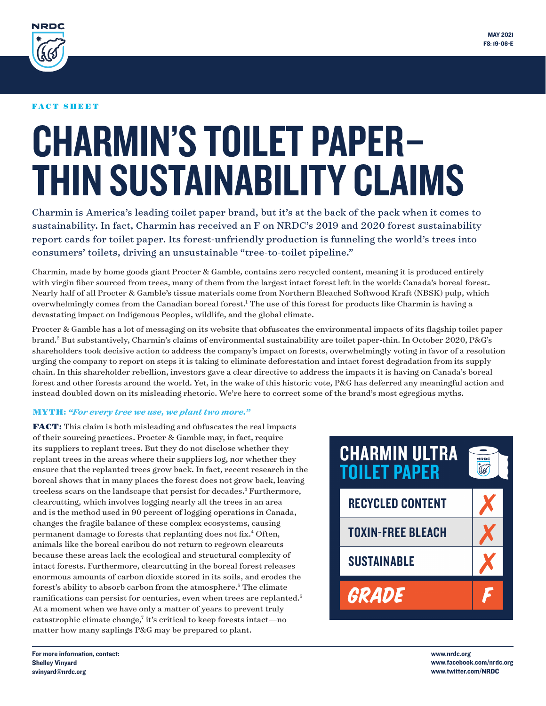<span id="page-0-0"></span>

### FACT SHEET

# CHARMIN'S TOILET PAPER– THIN SUSTAINABILITY CLAIMS

Charmin is America's leading toilet paper brand, but it's at the back of the pack when it comes to sustainability. In fact, Charmin has received an F on NRDC's 2019 and 2020 forest sustainability report cards for toilet paper. Its forest-unfriendly production is funneling the world's trees into consumers' toilets, driving an unsustainable "tree-to-toilet pipeline."

Charmin, made by home goods giant Procter & Gamble, contains zero recycled content, meaning it is produced entirely with virgin fiber sourced from trees, many of them from the largest intact forest left in the world: Canada's boreal forest. Nearly half of all Procter & Gamble's tissue materials come from Northern Bleached Softwood Kraft (NBSK) pulp, which overwhelmingly comes from the Canadian boreal forest[.1](#page-2-0) The use of this forest for products like Charmin is having a devastating impact on Indigenous Peoples, wildlife, and the global climate.

Procter & Gamble has a lot of messaging on its website that obfuscates the environmental impacts of its flagship toilet paper brand.[2](#page-2-0) But substantively, Charmin's claims of environmental sustainability are toilet paper-thin. In October 2020, P&G's shareholders took decisive action to address the company's impact on forests, overwhelmingly voting in favor of a resolution urging the company to report on steps it is taking to eliminate deforestation and intact forest degradation from its supply chain. In this shareholder rebellion, investors gave a clear directive to address the impacts it is having on Canada's boreal forest and other forests around the world. Yet, in the wake of this historic vote, P&G has deferred any meaningful action and instead doubled down on its misleading rhetoric. We're here to correct some of the brand's most egregious myths.

# MYTH**:** *"For every tree we use, we plant two more."*

FACT**:** This claim is both misleading and obfuscates the real impacts of their sourcing practices. Procter & Gamble may, in fact, require its suppliers to replant trees. But they do not disclose whether they replant trees in the areas where their suppliers log, nor whether they ensure that the replanted trees grow back. In fact, recent research in the boreal shows that in many places the forest does not grow back, leaving treeless scars on the landscape that persist for decades[.3](#page-2-0) Furthermore, clearcutting, which involves logging nearly all the trees in an area and is the method used in 90 percent of logging operations in Canada, changes the fragile balance of these complex ecosystems, causing permanent damage to forests that replanting does not fix.<sup>[4](#page-2-0)</sup> Often, animals like the boreal caribou do not return to regrown clearcuts because these areas lack the ecological and structural complexity of intact forests. Furthermore, clearcutting in the boreal forest releases enormous amounts of carbon dioxide stored in its soils, and erodes the forest's ability to absorb carbon from the atmosphere.<sup>[5](#page-2-0)</sup> The climate ramifications can persist for centuries, even when trees are replanted.<sup>6</sup> At a moment when we have only a matter of years to prevent truly catastrophic climate change,<sup>7</sup> it's critical to keep forests intact-no matter how many saplings P&G may be prepared to plant.



www.nrdc.org www.facebook.com/nrdc.org www.twitter.com/NRDC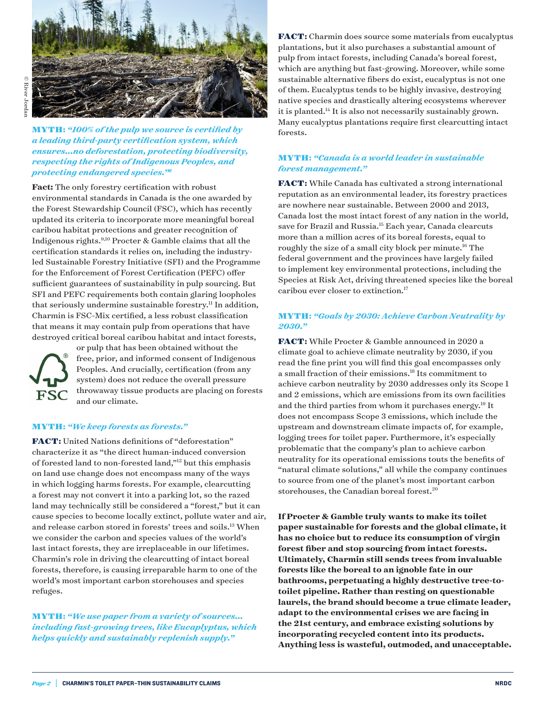<span id="page-1-0"></span>

MYTH**:** *"100% of the pulp we source is certified by a leading third-party certification system, which ensures...no deforestation, protecting biodiversity, respecting the rights of Indigenous Peoples, and protecting endangered species.["8](#page-2-0)*

**Fact:** The only forestry certification with robust environmental standards in Canada is the one awarded by the Forest Stewardship Council (FSC), which has recently updated its criteria to incorporate more meaningful boreal caribou habitat protections and greater recognition of Indigenous rights[.9,10](#page-2-0) Procter & Gamble claims that all the certification standards it relies on, including the industryled Sustainable Forestry Initiative (SFI) and the Programme for the Enforcement of Forest Certification (PEFC) offer sufficient guarantees of sustainability in pulp sourcing. But SFI and PEFC requirements both contain glaring loopholes that seriously undermine sustainable forestry.<sup>11</sup> In addition, Charmin is FSC-Mix certified, a less robust classification that means it may contain pulp from operations that have destroyed critical boreal caribou habitat and intact forests,



or pulp that has been obtained without the free, prior, and informed consent of Indigenous Peoples. And crucially, certification (from any system) does not reduce the overall pressure throwaway tissue products are placing on forests and our climate.

#### MYTH**:** *"We keep forests as forests."*

FACT**:** United Nations definitions of "deforestation" characterize it as "the direct human-induced conversion of forested land to non-forested land,["12](#page-2-0) but this emphasis on land use change does not encompass many of the ways in which logging harms forests. For example, clearcutting a forest may not convert it into a parking lot, so the razed land may technically still be considered a "forest," but it can cause species to become locally extinct, pollute water and air, and release carbon stored in forests' trees and soils.[13](#page-2-0) When we consider the carbon and species values of the world's last intact forests, they are irreplaceable in our lifetimes. Charmin's role in driving the clearcutting of intact boreal forests, therefore, is causing irreparable harm to one of the world's most important carbon storehouses and species refuges.

MYTH**:** *"We use paper from a variety of sources... including fast-growing trees, like Eucaplyptus, which helps quickly and sustainably replenish supply."* 

FACT**:** Charmin does source some materials from eucalyptus plantations, but it also purchases a substantial amount of pulp from intact forests, including Canada's boreal forest, which are anything but fast-growing. Moreover, while some sustainable alternative fibers do exist, eucalyptus is not one of them. Eucalyptus tends to be highly invasive, destroying native species and drastically altering ecosystems wherever it is planted.<sup>[14](#page-2-0)</sup> It is also not necessarily sustainably grown. Many eucalyptus plantations require first clearcutting intact forests.

## MYTH**:** *"Canada is a world leader in sustainable forest management."*

FACT**:** While Canada has cultivated a strong international reputation as an environmental leader, its forestry practices are nowhere near sustainable. Between 2000 and 2013, Canada lost the most intact forest of any nation in the world, save for Brazil and Russia[.15](#page-2-0) Each year, Canada clearcuts more than a million acres of its boreal forests, equal to roughly the size of a small city block per minute.<sup>16</sup> The federal government and the provinces have largely failed to implement key environmental protections, including the Species at Risk Act, driving threatened species like the boreal caribou ever closer to extinction.<sup>[17](#page-2-0)</sup>

# MYTH**:** *"Goals by 2030: Achieve Carbon Neutrality by 2030."*

FACT**:** While Procter & Gamble announced in 2020 a climate goal to achieve climate neutrality by 2030, if you read the fine print you will find this goal encompasses only a small fraction of their emissions.[18](#page-2-0) Its commitment to achieve carbon neutrality by 2030 addresses only its Scope 1 and 2 emissions, which are emissions from its own facilities and the third parties from whom it purchases energy[.19](#page-2-0) It does not encompass Scope 3 emissions, which include the upstream and downstream climate impacts of, for example, logging trees for toilet paper. Furthermore, it's especially problematic that the company's plan to achieve carbon neutrality for its operational emissions touts the benefits of "natural climate solutions," all while the company continues to source from one of the planet's most important carbon storehouses, the Canadian boreal forest.<sup>[20](#page-2-0)</sup>

**If Procter & Gamble truly wants to make its toilet paper sustainable for forests and the global climate, it has no choice but to reduce its consumption of virgin forest fiber and stop sourcing from intact forests. Ultimately, Charmin still sends trees from invaluable forests like the boreal to an ignoble fate in our bathrooms, perpetuating a highly destructive tree-totoilet pipeline. Rather than resting on questionable laurels, the brand should become a true climate leader, adapt to the environmental crises we are facing in the 21st century, and embrace existing solutions by incorporating recycled content into its products. Anything less is wasteful, outmoded, and unacceptable.**